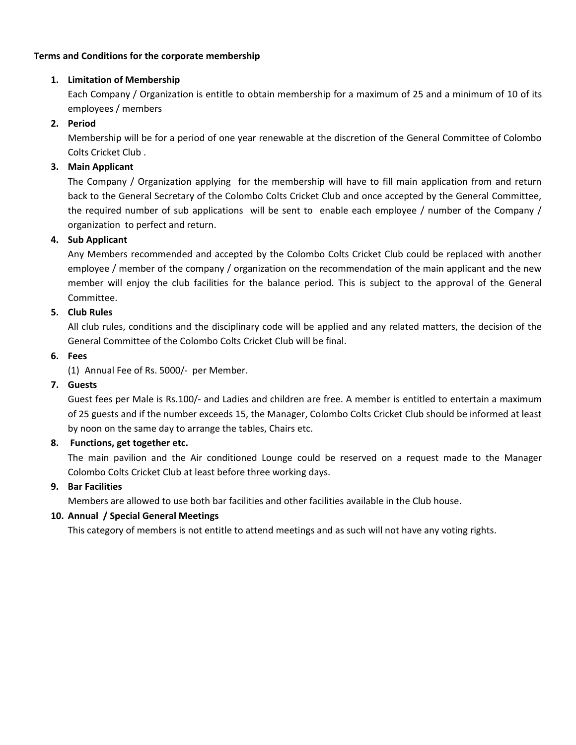### **Terms and Conditions for the corporate membership**

## **1. Limitation of Membership**

Each Company / Organization is entitle to obtain membership for a maximum of 25 and a minimum of 10 of its employees / members

# **2. Period**

Membership will be for a period of one year renewable at the discretion of the General Committee of Colombo Colts Cricket Club .

# **3. Main Applicant**

The Company / Organization applying for the membership will have to fill main application from and return back to the General Secretary of the Colombo Colts Cricket Club and once accepted by the General Committee, the required number of sub applications will be sent to enable each employee / number of the Company / organization to perfect and return.

## **4. Sub Applicant**

Any Members recommended and accepted by the Colombo Colts Cricket Club could be replaced with another employee / member of the company / organization on the recommendation of the main applicant and the new member will enjoy the club facilities for the balance period. This is subject to the approval of the General Committee.

## **5. Club Rules**

All club rules, conditions and the disciplinary code will be applied and any related matters, the decision of the General Committee of the Colombo Colts Cricket Club will be final.

### **6. Fees**

(1) Annual Fee of Rs. 5000/- per Member.

## **7. Guests**

Guest fees per Male is Rs.100/- and Ladies and children are free. A member is entitled to entertain a maximum of 25 guests and if the number exceeds 15, the Manager, Colombo Colts Cricket Club should be informed at least by noon on the same day to arrange the tables, Chairs etc.

## **8. Functions, get together etc.**

The main pavilion and the Air conditioned Lounge could be reserved on a request made to the Manager Colombo Colts Cricket Club at least before three working days.

## **9. Bar Facilities**

Members are allowed to use both bar facilities and other facilities available in the Club house.

## **10. Annual / Special General Meetings**

This category of members is not entitle to attend meetings and as such will not have any voting rights.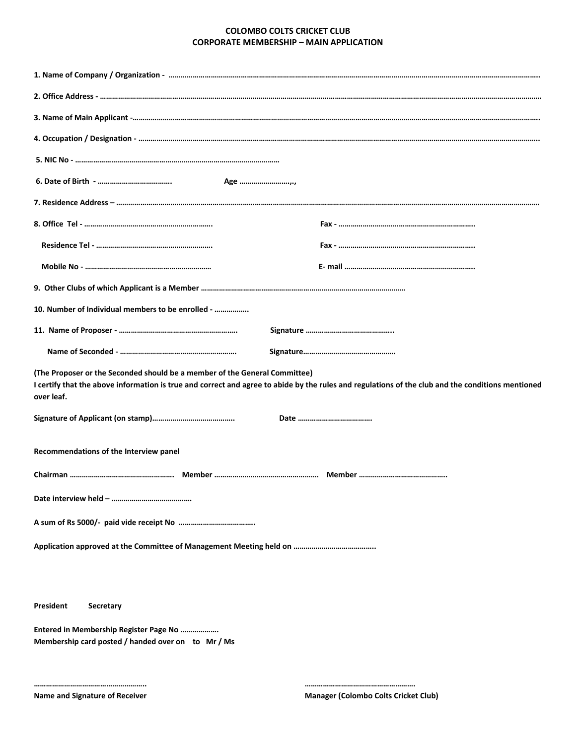#### **COLOMBO COLTS CRICKET CLUB CORPORATE MEMBERSHIP – MAIN APPLICATION**

| Age                                                                                                                                                                                                                                           |  |  |  |  |  |
|-----------------------------------------------------------------------------------------------------------------------------------------------------------------------------------------------------------------------------------------------|--|--|--|--|--|
|                                                                                                                                                                                                                                               |  |  |  |  |  |
|                                                                                                                                                                                                                                               |  |  |  |  |  |
|                                                                                                                                                                                                                                               |  |  |  |  |  |
|                                                                                                                                                                                                                                               |  |  |  |  |  |
|                                                                                                                                                                                                                                               |  |  |  |  |  |
| 10. Number of Individual members to be enrolled -                                                                                                                                                                                             |  |  |  |  |  |
|                                                                                                                                                                                                                                               |  |  |  |  |  |
|                                                                                                                                                                                                                                               |  |  |  |  |  |
| (The Proposer or the Seconded should be a member of the General Committee)<br>I certify that the above information is true and correct and agree to abide by the rules and regulations of the club and the conditions mentioned<br>over leaf. |  |  |  |  |  |
|                                                                                                                                                                                                                                               |  |  |  |  |  |
| Recommendations of the Interview panel                                                                                                                                                                                                        |  |  |  |  |  |
|                                                                                                                                                                                                                                               |  |  |  |  |  |
|                                                                                                                                                                                                                                               |  |  |  |  |  |
|                                                                                                                                                                                                                                               |  |  |  |  |  |
|                                                                                                                                                                                                                                               |  |  |  |  |  |
|                                                                                                                                                                                                                                               |  |  |  |  |  |
|                                                                                                                                                                                                                                               |  |  |  |  |  |
| President<br>Secretary                                                                                                                                                                                                                        |  |  |  |  |  |
| Entered in Membership Register Page No<br>Membership card posted / handed over on to Mr / Ms                                                                                                                                                  |  |  |  |  |  |

**……………………………………………….. ……………………………………………….**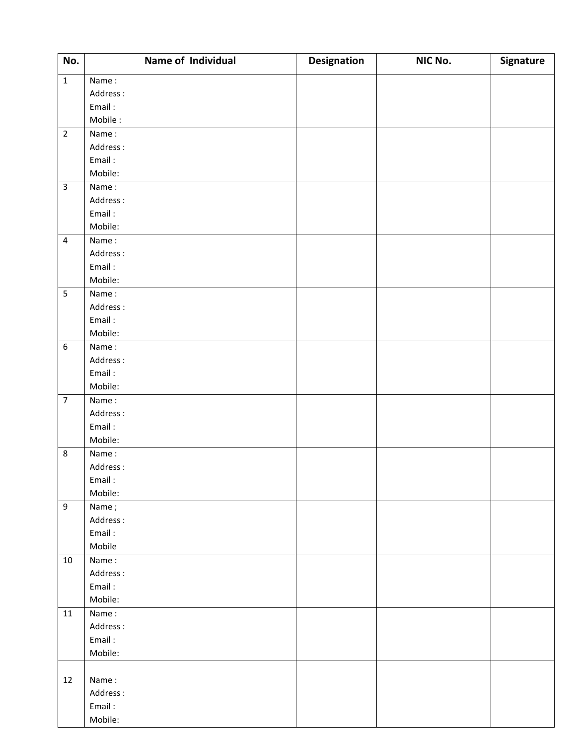| No.              | Name of Individual | <b>Designation</b> | NIC No. | Signature |
|------------------|--------------------|--------------------|---------|-----------|
| $\mathbf 1$      | Name:              |                    |         |           |
|                  | Address:           |                    |         |           |
|                  | Email:             |                    |         |           |
|                  | Mobile:            |                    |         |           |
| $\overline{2}$   | Name:              |                    |         |           |
|                  | Address:           |                    |         |           |
|                  | Email:             |                    |         |           |
|                  | Mobile:            |                    |         |           |
| $\overline{3}$   | Name:              |                    |         |           |
|                  | Address:           |                    |         |           |
|                  | Email:             |                    |         |           |
|                  | Mobile:            |                    |         |           |
| $\overline{4}$   | Name:              |                    |         |           |
|                  | Address:           |                    |         |           |
|                  | Email:             |                    |         |           |
|                  | Mobile:            |                    |         |           |
| $\overline{5}$   | Name:              |                    |         |           |
|                  | Address:           |                    |         |           |
|                  | Email:             |                    |         |           |
|                  | Mobile:            |                    |         |           |
| $\boldsymbol{6}$ | Name:              |                    |         |           |
|                  | Address:           |                    |         |           |
|                  | Email:             |                    |         |           |
|                  | Mobile:            |                    |         |           |
| $\overline{7}$   | Name:              |                    |         |           |
|                  | Address:           |                    |         |           |
|                  | Email:             |                    |         |           |
|                  | Mobile:            |                    |         |           |
| $\,8\,$          | Name:              |                    |         |           |
|                  | Address:           |                    |         |           |
|                  | Email:             |                    |         |           |
|                  | Mobile:            |                    |         |           |
| $\boldsymbol{9}$ | Name;              |                    |         |           |
|                  | Address:           |                    |         |           |
|                  | Email:             |                    |         |           |
|                  | Mobile             |                    |         |           |
| 10               | Name:              |                    |         |           |
|                  | Address:           |                    |         |           |
|                  | Email:             |                    |         |           |
|                  | Mobile:            |                    |         |           |
| 11               | Name:              |                    |         |           |
|                  | Address:           |                    |         |           |
|                  | Email:             |                    |         |           |
|                  | Mobile:            |                    |         |           |
|                  |                    |                    |         |           |
| 12               | Name:              |                    |         |           |
|                  | Address:           |                    |         |           |
|                  | Email:             |                    |         |           |
|                  | Mobile:            |                    |         |           |